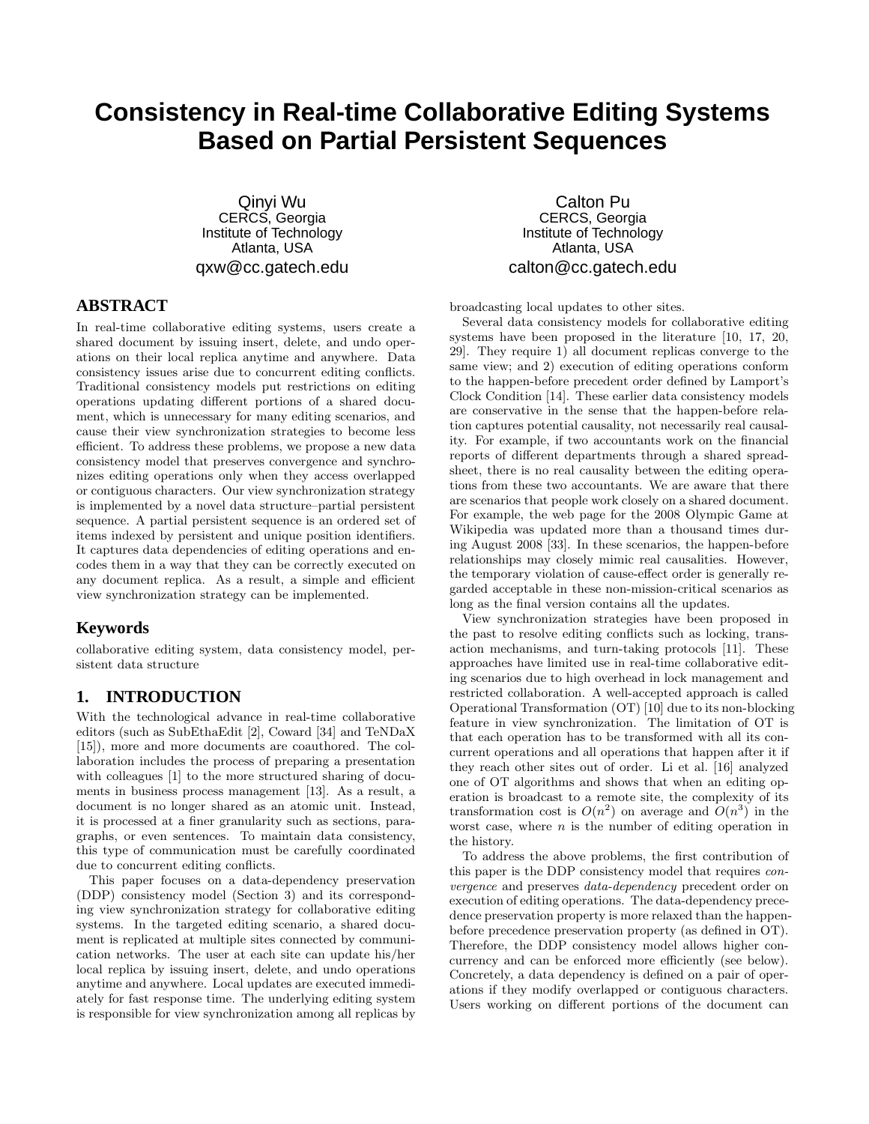# **Consistency in Real-time Collaborative Editing Systems Based on Partial Persistent Sequences**

Qinyi Wu CERCS, Georgia Institute of Technology Atlanta, USA qxw@cc.gatech.edu

# **ABSTRACT**

In real-time collaborative editing systems, users create a shared document by issuing insert, delete, and undo operations on their local replica anytime and anywhere. Data consistency issues arise due to concurrent editing conflicts. Traditional consistency models put restrictions on editing operations updating different portions of a shared document, which is unnecessary for many editing scenarios, and cause their view synchronization strategies to become less efficient. To address these problems, we propose a new data consistency model that preserves convergence and synchronizes editing operations only when they access overlapped or contiguous characters. Our view synchronization strategy is implemented by a novel data structure–partial persistent sequence. A partial persistent sequence is an ordered set of items indexed by persistent and unique position identifiers. It captures data dependencies of editing operations and encodes them in a way that they can be correctly executed on any document replica. As a result, a simple and efficient view synchronization strategy can be implemented.

# **Keywords**

collaborative editing system, data consistency model, persistent data structure

#### **1. INTRODUCTION**

With the technological advance in real-time collaborative editors (such as SubEthaEdit [2], Coward [34] and TeNDaX [15]), more and more documents are coauthored. The collaboration includes the process of preparing a presentation with colleagues [1] to the more structured sharing of documents in business process management [13]. As a result, a document is no longer shared as an atomic unit. Instead, it is processed at a finer granularity such as sections, paragraphs, or even sentences. To maintain data consistency, this type of communication must be carefully coordinated due to concurrent editing conflicts.

This paper focuses on a data-dependency preservation (DDP) consistency model (Section 3) and its corresponding view synchronization strategy for collaborative editing systems. In the targeted editing scenario, a shared document is replicated at multiple sites connected by communication networks. The user at each site can update his/her local replica by issuing insert, delete, and undo operations anytime and anywhere. Local updates are executed immediately for fast response time. The underlying editing system is responsible for view synchronization among all replicas by

Calton Pu CERCS, Georgia Institute of Technology Atlanta, USA calton@cc.gatech.edu

broadcasting local updates to other sites.

Several data consistency models for collaborative editing systems have been proposed in the literature [10, 17, 20, 29]. They require 1) all document replicas converge to the same view; and 2) execution of editing operations conform to the happen-before precedent order defined by Lamport's Clock Condition [14]. These earlier data consistency models are conservative in the sense that the happen-before relation captures potential causality, not necessarily real causality. For example, if two accountants work on the financial reports of different departments through a shared spreadsheet, there is no real causality between the editing operations from these two accountants. We are aware that there are scenarios that people work closely on a shared document. For example, the web page for the 2008 Olympic Game at Wikipedia was updated more than a thousand times during August 2008 [33]. In these scenarios, the happen-before relationships may closely mimic real causalities. However, the temporary violation of cause-effect order is generally regarded acceptable in these non-mission-critical scenarios as long as the final version contains all the updates.

View synchronization strategies have been proposed in the past to resolve editing conflicts such as locking, transaction mechanisms, and turn-taking protocols [11]. These approaches have limited use in real-time collaborative editing scenarios due to high overhead in lock management and restricted collaboration. A well-accepted approach is called Operational Transformation (OT) [10] due to its non-blocking feature in view synchronization. The limitation of OT is that each operation has to be transformed with all its concurrent operations and all operations that happen after it if they reach other sites out of order. Li et al. [16] analyzed one of OT algorithms and shows that when an editing operation is broadcast to a remote site, the complexity of its transformation cost is  $O(n^2)$  on average and  $O(n^3)$  in the worst case, where  $n$  is the number of editing operation in the history.

To address the above problems, the first contribution of this paper is the DDP consistency model that requires *convergence* and preserves *data-dependency* precedent order on execution of editing operations. The data-dependency precedence preservation property is more relaxed than the happenbefore precedence preservation property (as defined in OT). Therefore, the DDP consistency model allows higher concurrency and can be enforced more efficiently (see below). Concretely, a data dependency is defined on a pair of operations if they modify overlapped or contiguous characters. Users working on different portions of the document can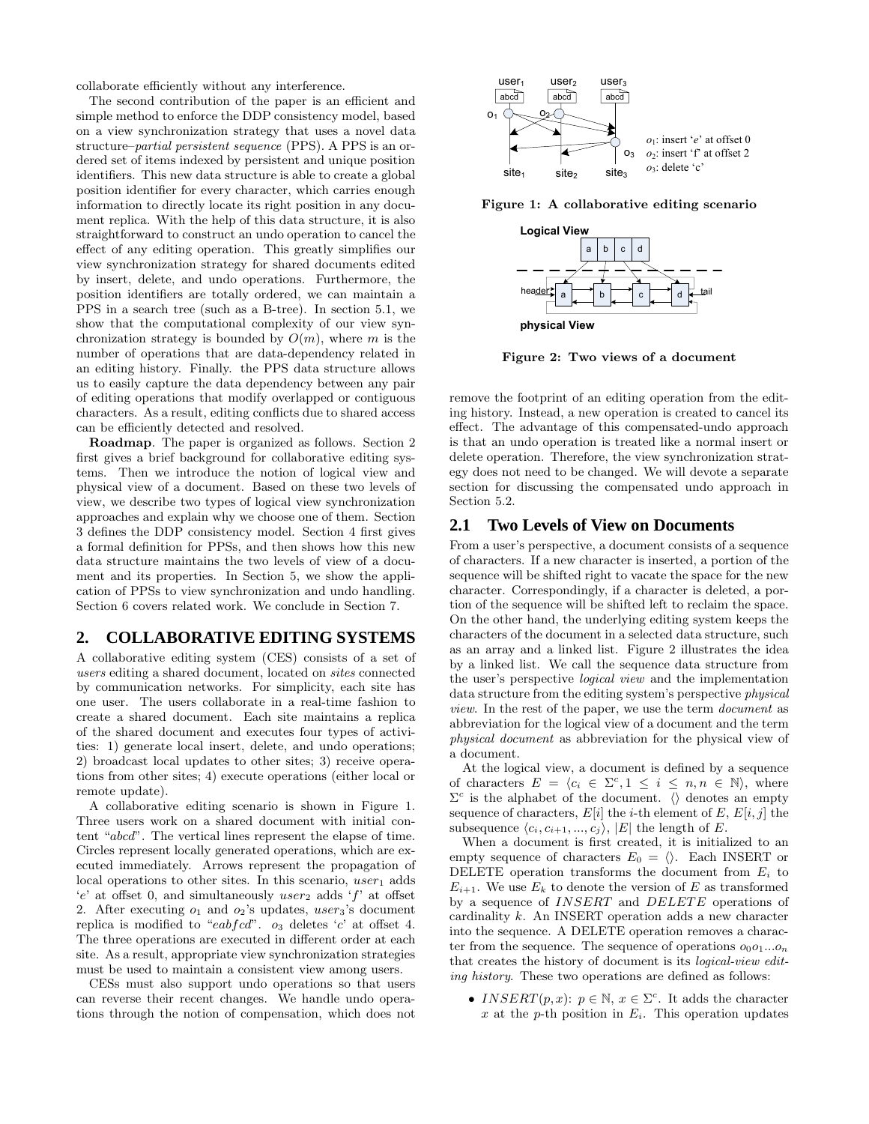collaborate efficiently without any interference.

The second contribution of the paper is an efficient and simple method to enforce the DDP consistency model, based on a view synchronization strategy that uses a novel data structure–*partial persistent sequence* (PPS). A PPS is an ordered set of items indexed by persistent and unique position identifiers. This new data structure is able to create a global position identifier for every character, which carries enough information to directly locate its right position in any document replica. With the help of this data structure, it is also straightforward to construct an undo operation to cancel the effect of any editing operation. This greatly simplifies our view synchronization strategy for shared documents edited by insert, delete, and undo operations. Furthermore, the position identifiers are totally ordered, we can maintain a PPS in a search tree (such as a B-tree). In section 5.1, we show that the computational complexity of our view synchronization strategy is bounded by  $O(m)$ , where m is the number of operations that are data-dependency related in an editing history. Finally. the PPS data structure allows us to easily capture the data dependency between any pair of editing operations that modify overlapped or contiguous characters. As a result, editing conflicts due to shared access can be efficiently detected and resolved.

**Roadmap**. The paper is organized as follows. Section 2 first gives a brief background for collaborative editing systems. Then we introduce the notion of logical view and physical view of a document. Based on these two levels of view, we describe two types of logical view synchronization approaches and explain why we choose one of them. Section 3 defines the DDP consistency model. Section 4 first gives a formal definition for PPSs, and then shows how this new data structure maintains the two levels of view of a document and its properties. In Section 5, we show the application of PPSs to view synchronization and undo handling. Section 6 covers related work. We conclude in Section 7.

### **2. COLLABORATIVE EDITING SYSTEMS**

A collaborative editing system (CES) consists of a set of *users* editing a shared document, located on *sites* connected by communication networks. For simplicity, each site has one user. The users collaborate in a real-time fashion to create a shared document. Each site maintains a replica of the shared document and executes four types of activities: 1) generate local insert, delete, and undo operations; 2) broadcast local updates to other sites; 3) receive operations from other sites; 4) execute operations (either local or remote update).

A collaborative editing scenario is shown in Figure 1. Three users work on a shared document with initial content "abcd". The vertical lines represent the elapse of time. Circles represent locally generated operations, which are executed immediately. Arrows represent the propagation of local operations to other sites. In this scenario,  $user_1$  adds  $'e'$  at offset 0, and simultaneously user<sub>2</sub> adds  $'f'$  at offset 2. After executing  $o_1$  and  $o_2$ 's updates, user<sub>3</sub>'s document replica is modified to "eabfcd".  $o_3$  deletes 'c' at offset 4. The three operations are executed in different order at each site. As a result, appropriate view synchronization strategies must be used to maintain a consistent view among users.

CESs must also support undo operations so that users can reverse their recent changes. We handle undo operations through the notion of compensation, which does not



**Figure 1: A collaborative editing scenario**



**Figure 2: Two views of a document**

remove the footprint of an editing operation from the editing history. Instead, a new operation is created to cancel its effect. The advantage of this compensated-undo approach is that an undo operation is treated like a normal insert or delete operation. Therefore, the view synchronization strategy does not need to be changed. We will devote a separate section for discussing the compensated undo approach in Section 5.2.

#### **2.1 Two Levels of View on Documents**

From a user's perspective, a document consists of a sequence of characters. If a new character is inserted, a portion of the sequence will be shifted right to vacate the space for the new character. Correspondingly, if a character is deleted, a portion of the sequence will be shifted left to reclaim the space. On the other hand, the underlying editing system keeps the characters of the document in a selected data structure, such as an array and a linked list. Figure 2 illustrates the idea by a linked list. We call the sequence data structure from the user's perspective *logical view* and the implementation data structure from the editing system's perspective *physical view*. In the rest of the paper, we use the term *document* as abbreviation for the logical view of a document and the term *physical document* as abbreviation for the physical view of a document.

At the logical view, a document is defined by a sequence of characters  $E = \langle c_i \in \Sigma^c, 1 \leq i \leq n, n \in \mathbb{N} \rangle$ , where  $\Sigma^c$  is the alphabet of the document.  $\langle \rangle$  denotes an empty sequence of characters,  $E[i]$  the *i*-th element of E,  $E[i, j]$  the subsequence  $\langle c_i, c_{i+1}, ..., c_j \rangle$ ,  $|E|$  the length of E.

When a document is first created, it is initialized to an empty sequence of characters  $E_0 = \langle \rangle$ . Each INSERT or DELETE operation transforms the document from  $E_i$  to  $E_{i+1}$ . We use  $E_k$  to denote the version of E as transformed by a sequence of  $INSERT$  and  $DELETE$  operations of cardinality k. An INSERT operation adds a new character into the sequence. A DELETE operation removes a character from the sequence. The sequence of operations  $o_0o_1...o_n$ that creates the history of document is its *logical-view editing history*. These two operations are defined as follows:

• INSERT $(p, x)$ :  $p \in \mathbb{N}, x \in \Sigma^c$ . It adds the character x at the p-th position in  $E_i$ . This operation updates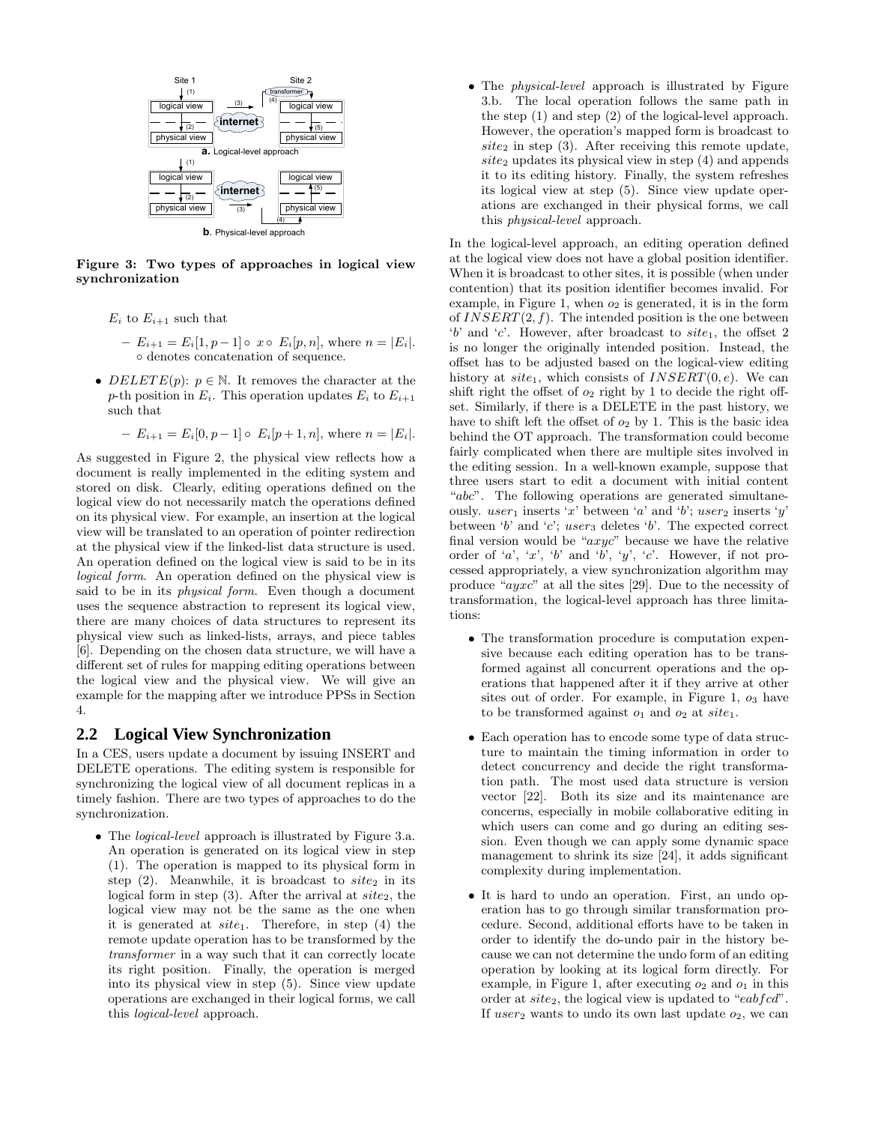

**Figure 3: Two types of approaches in logical view synchronization**

- $E_i$  to  $E_{i+1}$  such that
	- **–** E*<sup>i</sup>*+1 = E*i*[1, p − 1] x E*i*[p, n], where n = |E*i*|. ◦ denotes concatenation of sequence.
- DELETE $(p)$ :  $p \in \mathbb{N}$ . It removes the character at the p-th position in  $E_i$ . This operation updates  $E_i$  to  $E_{i+1}$ such that

 $-E_{i+1} = E_i[0, p-1] \circ E_i[p+1, n],$  where  $n = |E_i|$ .

As suggested in Figure 2, the physical view reflects how a document is really implemented in the editing system and stored on disk. Clearly, editing operations defined on the logical view do not necessarily match the operations defined on its physical view. For example, an insertion at the logical view will be translated to an operation of pointer redirection at the physical view if the linked-list data structure is used. An operation defined on the logical view is said to be in its *logical form*. An operation defined on the physical view is said to be in its *physical form*. Even though a document uses the sequence abstraction to represent its logical view, there are many choices of data structures to represent its physical view such as linked-lists, arrays, and piece tables [6]. Depending on the chosen data structure, we will have a different set of rules for mapping editing operations between the logical view and the physical view. We will give an example for the mapping after we introduce PPSs in Section 4.

#### **2.2 Logical View Synchronization**

In a CES, users update a document by issuing INSERT and DELETE operations. The editing system is responsible for synchronizing the logical view of all document replicas in a timely fashion. There are two types of approaches to do the synchronization.

• The *logical-level* approach is illustrated by Figure 3.a. An operation is generated on its logical view in step (1). The operation is mapped to its physical form in step  $(2)$ . Meanwhile, it is broadcast to *site*<sub>2</sub> in its logical form in step  $(3)$ . After the arrival at  $site_2$ , the logical view may not be the same as the one when it is generated at  $site_1$ . Therefore, in step (4) the remote update operation has to be transformed by the *transformer* in a way such that it can correctly locate its right position. Finally, the operation is merged into its physical view in step (5). Since view update operations are exchanged in their logical forms, we call this *logical-level* approach.

• The *physical-level* approach is illustrated by Figure 3.b. The local operation follows the same path in the step (1) and step (2) of the logical-level approach. However, the operation's mapped form is broadcast to  $site_2$  in step (3). After receiving this remote update,  $site_2$  updates its physical view in step  $(4)$  and appends it to its editing history. Finally, the system refreshes its logical view at step (5). Since view update operations are exchanged in their physical forms, we call this *physical-level* approach.

In the logical-level approach, an editing operation defined at the logical view does not have a global position identifier. When it is broadcast to other sites, it is possible (when under contention) that its position identifier becomes invalid. For example, in Figure 1, when  $o_2$  is generated, it is in the form of  $INSERT(2, f)$ . The intended position is the one between 'b' and 'c'. However, after broadcast to  $site_1$ , the offset 2 is no longer the originally intended position. Instead, the offset has to be adjusted based on the logical-view editing history at  $site_1$ , which consists of  $INSERT(0, e)$ . We can shift right the offset of  $o_2$  right by 1 to decide the right offset. Similarly, if there is a DELETE in the past history, we have to shift left the offset of  $o_2$  by 1. This is the basic idea behind the OT approach. The transformation could become fairly complicated when there are multiple sites involved in the editing session. In a well-known example, suppose that three users start to edit a document with initial content "abc". The following operations are generated simultaneously. user<sub>1</sub> inserts 'x' between 'a' and 'b'; user<sub>2</sub> inserts 'y' between 'b' and 'c'; user<sub>3</sub> deletes 'b'. The expected correct final version would be " $axyc$ " because we have the relative order of 'a', 'x', 'b' and 'b', 'y', 'c'. However, if not processed appropriately, a view synchronization algorithm may produce "ayxc" at all the sites [29]. Due to the necessity of transformation, the logical-level approach has three limitations:

- The transformation procedure is computation expensive because each editing operation has to be transformed against all concurrent operations and the operations that happened after it if they arrive at other sites out of order. For example, in Figure 1,  $o_3$  have to be transformed against  $o_1$  and  $o_2$  at  $site_1$ .
- Each operation has to encode some type of data structure to maintain the timing information in order to detect concurrency and decide the right transformation path. The most used data structure is version vector [22]. Both its size and its maintenance are concerns, especially in mobile collaborative editing in which users can come and go during an editing session. Even though we can apply some dynamic space management to shrink its size [24], it adds significant complexity during implementation.
- It is hard to undo an operation. First, an undo operation has to go through similar transformation procedure. Second, additional efforts have to be taken in order to identify the do-undo pair in the history because we can not determine the undo form of an editing operation by looking at its logical form directly. For example, in Figure 1, after executing  $o_2$  and  $o_1$  in this order at  $site_2$ , the logical view is updated to " $eabfcd$ ". If user<sub>2</sub> wants to undo its own last update  $o_2$ , we can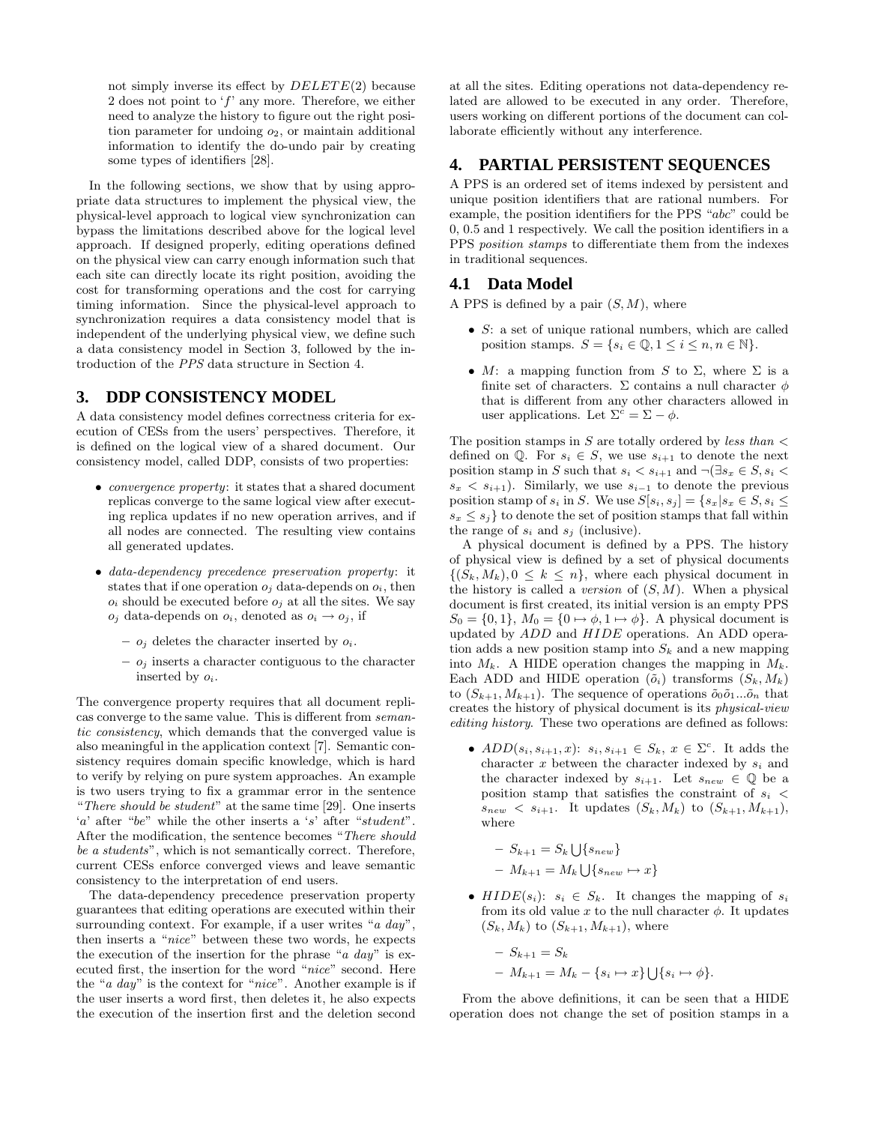not simply inverse its effect by  $DELETE(2)$  because 2 does not point to 'f' any more. Therefore, we either need to analyze the history to figure out the right position parameter for undoing  $o_2$ , or maintain additional information to identify the do-undo pair by creating some types of identifiers [28].

In the following sections, we show that by using appropriate data structures to implement the physical view, the physical-level approach to logical view synchronization can bypass the limitations described above for the logical level approach. If designed properly, editing operations defined on the physical view can carry enough information such that each site can directly locate its right position, avoiding the cost for transforming operations and the cost for carrying timing information. Since the physical-level approach to synchronization requires a data consistency model that is independent of the underlying physical view, we define such a data consistency model in Section 3, followed by the introduction of the *PPS* data structure in Section 4.

# **3. DDP CONSISTENCY MODEL**

A data consistency model defines correctness criteria for execution of CESs from the users' perspectives. Therefore, it is defined on the logical view of a shared document. Our consistency model, called DDP, consists of two properties:

- *convergence property*: it states that a shared document replicas converge to the same logical view after executing replica updates if no new operation arrives, and if all nodes are connected. The resulting view contains all generated updates.
- *data-dependency precedence preservation property*: it states that if one operation  $o_j$  data-depends on  $o_i$ , then  $o_i$  should be executed before  $o_j$  at all the sites. We say  $o_j$  data-depends on  $o_i$ , denoted as  $o_i \rightarrow o_j$ , if
	- **–** o*<sup>j</sup>* deletes the character inserted by o*i*.
	- **–** o*<sup>j</sup>* inserts a character contiguous to the character inserted by o*i*.

The convergence property requires that all document replicas converge to the same value. This is different from *semantic consistency*, which demands that the converged value is also meaningful in the application context [7]. Semantic consistency requires domain specific knowledge, which is hard to verify by relying on pure system approaches. An example is two users trying to fix a grammar error in the sentence "*There should be student*" at the same time [29]. One inserts 'a' after "be" while the other inserts a 's' after "student". After the modification, the sentence becomes "*There should be a students*", which is not semantically correct. Therefore, current CESs enforce converged views and leave semantic consistency to the interpretation of end users.

The data-dependency precedence preservation property guarantees that editing operations are executed within their surrounding context. For example, if a user writes "*a day*", then inserts a "*nice*" between these two words, he expects the execution of the insertion for the phrase "*a day*" is executed first, the insertion for the word "*nice*" second. Here the "*a day*" is the context for "*nice*". Another example is if the user inserts a word first, then deletes it, he also expects the execution of the insertion first and the deletion second

at all the sites. Editing operations not data-dependency related are allowed to be executed in any order. Therefore, users working on different portions of the document can collaborate efficiently without any interference.

### **4. PARTIAL PERSISTENT SEQUENCES**

A PPS is an ordered set of items indexed by persistent and unique position identifiers that are rational numbers. For example, the position identifiers for the PPS "abc" could be 0, 0.5 and 1 respectively. We call the position identifiers in a PPS *position stamps* to differentiate them from the indexes in traditional sequences.

#### **4.1 Data Model**

A PPS is defined by a pair  $(S, M)$ , where

- S: a set of unique rational numbers, which are called position stamps.  $S = \{s_i \in \mathbb{Q}, 1 \leq i \leq n, n \in \mathbb{N}\}.$
- M: a mapping function from S to  $\Sigma$ , where  $\Sigma$  is a finite set of characters.  $\Sigma$  contains a null character  $\phi$ that is different from any other characters allowed in user applications. Let  $\Sigma^c = \Sigma - \phi$ .

The position stamps in S are totally ordered by *less than* < defined on  $\mathbb{Q}$ . For  $s_i \in S$ , we use  $s_{i+1}$  to denote the next position stamp in S such that  $s_i < s_{i+1}$  and  $\neg \exists s_x \in S, s_i$  $s_x < s_{i+1}$ ). Similarly, we use  $s_{i-1}$  to denote the previous position stamp of  $s_i$  in S. We use  $S[s_i, s_j] = \{s_x | s_x \in S, s_i \leq \}$  $s_x \leq s_j$  to denote the set of position stamps that fall within the range of  $s_i$  and  $s_j$  (inclusive).

A physical document is defined by a PPS. The history of physical view is defined by a set of physical documents  $\{(S_k, M_k), 0 \leq k \leq n\}$ , where each physical document in the history is called a *version* of  $(S, M)$ . When a physical document is first created, its initial version is an empty PPS  $S_0 = \{0, 1\}, M_0 = \{0 \mapsto \phi, 1 \mapsto \phi\}.$  A physical document is updated by ADD and HIDE operations. An ADD operation adds a new position stamp into  $S_k$  and a new mapping into  $M_k$ . A HIDE operation changes the mapping in  $M_k$ . Each ADD and HIDE operation  $(\tilde{o}_i)$  transforms  $(S_k, M_k)$ to  $(S_{k+1}, M_{k+1})$ . The sequence of operations  $\tilde{o}_0 \tilde{o}_1 ... \tilde{o}_n$  that creates the history of physical document is its *physical-view editing history*. These two operations are defined as follows:

•  $ADD(s_i, s_{i+1}, x)$ :  $s_i, s_{i+1} \in S_k$ ,  $x \in \Sigma^c$ . It adds the character  $x$  between the character indexed by  $s_i$  and the character indexed by  $s_{i+1}$ . Let  $s_{new} \in \mathbb{Q}$  be a position stamp that satisfies the constraint of  $s_i$  $s_{new} < s_{i+1}$ . It updates  $(S_k, M_k)$  to  $(S_{k+1}, M_{k+1}),$ where

$$
- S_{k+1} = S_k \bigcup \{ s_{new} \}
$$
  

$$
- M_{k+1} = M_k \bigcup \{ s_{new} \mapsto x \}
$$

•  $HIDE(s_i): s_i \in S_k$ . It changes the mapping of  $s_i$ from its old value x to the null character  $\phi$ . It updates  $(S_k, M_k)$  to  $(S_{k+1}, M_{k+1})$ , where

$$
- S_{k+1} = S_k
$$
  
-  $M_{k+1} = M_k - \{s_i \mapsto x\} \cup \{s_i \mapsto \phi\}.$ 

From the above definitions, it can be seen that a HIDE operation does not change the set of position stamps in a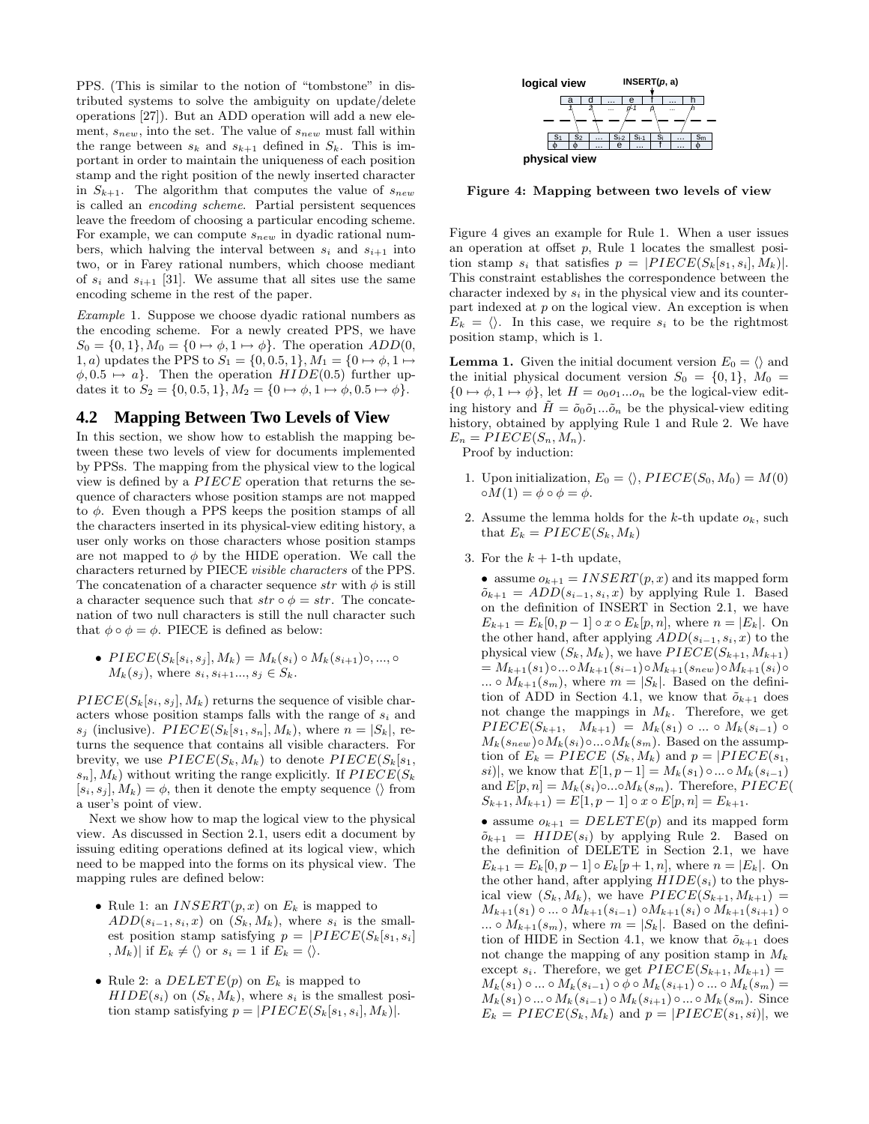PPS. (This is similar to the notion of "tombstone" in distributed systems to solve the ambiguity on update/delete operations [27]). But an ADD operation will add a new element, s*new*, into the set. The value of s*new* must fall within the range between  $s_k$  and  $s_{k+1}$  defined in  $S_k$ . This is important in order to maintain the uniqueness of each position stamp and the right position of the newly inserted character in  $S_{k+1}$ . The algorithm that computes the value of  $s_{new}$ is called an *encoding scheme*. Partial persistent sequences leave the freedom of choosing a particular encoding scheme. For example, we can compute s*new* in dyadic rational numbers, which halving the interval between  $s_i$  and  $s_{i+1}$  into two, or in Farey rational numbers, which choose mediant of  $s_i$  and  $s_{i+1}$  [31]. We assume that all sites use the same encoding scheme in the rest of the paper.

*Example* 1*.* Suppose we choose dyadic rational numbers as the encoding scheme. For a newly created PPS, we have  $S_0 = \{0, 1\}, M_0 = \{0 \mapsto \phi, 1 \mapsto \phi\}.$  The operation  $ADD(0, 1)$ 1, a) updates the PPS to  $S_1 = \{0, 0.5, 1\}, M_1 = \{0 \mapsto \phi, 1 \mapsto$  $\phi$ , 0.5  $\mapsto a$ . Then the operation  $HIDE(0.5)$  further updates it to  $S_2 = \{0, 0.5, 1\}, M_2 = \{0 \mapsto \phi, 1 \mapsto \phi, 0.5 \mapsto \phi\}.$ 

#### **4.2 Mapping Between Two Levels of View**

In this section, we show how to establish the mapping between these two levels of view for documents implemented by PPSs. The mapping from the physical view to the logical view is defined by a PIECE operation that returns the sequence of characters whose position stamps are not mapped to  $\phi$ . Even though a PPS keeps the position stamps of all the characters inserted in its physical-view editing history, a user only works on those characters whose position stamps are not mapped to  $\phi$  by the HIDE operation. We call the characters returned by PIECE *visible characters* of the PPS. The concatenation of a character sequence  $str$  with  $\phi$  is still a character sequence such that  $str \circ \phi = str$ . The concatenation of two null characters is still the null character such that  $\phi \circ \phi = \phi$ . PIECE is defined as below:

•  $PIECE(S_k[s_i, s_j], M_k) = M_k(s_i) ∘ M_k(s_{i+1}) ∘, ..., ∘$  $M_k(s_j)$ , where  $s_i, s_{i+1}...$ ,  $s_j \in S_k$ .

 $PIECE(S_k[s_i, s_j], M_k)$  returns the sequence of visible characters whose position stamps falls with the range of s*<sup>i</sup>* and  $s_j$  (inclusive).  $PIECE(S_k[s_1, s_n], M_k)$ , where  $n = |S_k|$ , returns the sequence that contains all visible characters. For brevity, we use  $PIECE(S_k, M_k)$  to denote  $PIECE(S_k|s_1,$  $s_n$ ,  $M_k$ ) without writing the range explicitly. If  $PIECE(S_k)$  $[s_i, s_j], M_k) = \phi$ , then it denote the empty sequence  $\langle \rangle$  from a user's point of view.

Next we show how to map the logical view to the physical view. As discussed in Section 2.1, users edit a document by issuing editing operations defined at its logical view, which need to be mapped into the forms on its physical view. The mapping rules are defined below:

- Rule 1: an  $INSERT(p, x)$  on  $E_k$  is mapped to  $ADD(s_{i-1}, s_i, x)$  on  $(S_k, M_k)$ , where  $s_i$  is the smallest position stamp satisfying  $p = |PIECE(S_k|s_1, s_i)|$  $|M_k|$  if  $E_k \neq \langle \rangle$  or  $s_i = 1$  if  $E_k = \langle \rangle$ .
- Rule 2: a  $DELETE(p)$  on  $E_k$  is mapped to  $HIDE(s_i)$  on  $(S_k, M_k)$ , where  $s_i$  is the smallest position stamp satisfying  $p = |PIECE(S_k[s_1, s_i], M_k)|$ .



**Figure 4: Mapping between two levels of view**

Figure 4 gives an example for Rule 1. When a user issues an operation at offset p, Rule 1 locates the smallest position stamp  $s_i$  that satisfies  $p = |PIECE(S_k|s_1, s_i|, M_k)|$ . This constraint establishes the correspondence between the character indexed by s*<sup>i</sup>* in the physical view and its counterpart indexed at  $p$  on the logical view. An exception is when  $E_k = \langle \rangle$ . In this case, we require  $s_i$  to be the rightmost position stamp, which is 1.

**Lemma 1.** Given the initial document version  $E_0 = \langle \rangle$  and the initial physical document version  $S_0 = \{0, 1\}, M_0 =$  $\{0 \mapsto \phi, 1 \mapsto \phi\}$ , let  $H = o_0 o_1 ... o_n$  be the logical-view editing history and  $\tilde{H} = \tilde{o}_0 \tilde{o}_1 ... \tilde{o}_n$  be the physical-view editing history, obtained by applying Rule 1 and Rule 2. We have  $E_n = PIECE(S_n, M_n).$ 

Proof by induction:

- 1. Upon initialization,  $E_0 = \langle \rangle$ ,  $PIECE(S_0, M_0) = M(0)$  $\circ M(1) = \phi \circ \phi = \phi$ .
- 2. Assume the lemma holds for the  $k$ -th update  $o_k$ , such that  $E_k = PIECE(S_k, M_k)$
- 3. For the  $k + 1$ -th update,

• assume  $o_{k+1} = INSERT(p, x)$  and its mapped form  $\tilde{o}_{k+1} = ADD(s_{i-1}, s_i, x)$  by applying Rule 1. Based on the definition of INSERT in Section 2.1, we have  $E_{k+1} = E_k[0, p-1] \circ x \circ E_k[p, n],$  where  $n = |E_k|$ . On the other hand, after applying ADD(s*<sup>i</sup>*−<sup>1</sup>, s*i*, x) to the physical view  $(S_k, M_k)$ , we have  $PIECE(S_{k+1}, M_{k+1})$  $= M_{k+1}(s_1) ∘ ... ∘ M_{k+1}(s_{i-1}) ∘ M_{k+1}(s_{new}) ∘ M_{k+1}(s_i) ∘$ ...  $\circ$   $M_{k+1}(s_m)$ , where  $m = |S_k|$ . Based on the definition of ADD in Section 4.1, we know that  $\tilde{o}_{k+1}$  does not change the mappings in  $M_k$ . Therefore, we get  $PIECE(S_{k+1}, M_{k+1}) = M_k(s_1) \circ ... \circ M_k(s_{i-1}) \circ$  $M_k(s_{new}) \circ M_k(s_i) \circ ... \circ M_k(s_m)$ . Based on the assumption of  $E_k = PIECE$   $(S_k, M_k)$  and  $p = |PIECE(s_1,$ si)|, we know that  $E[1, p-1] = M_k(s_1) \circ ... \circ M_k(s_{i-1})$ and  $E[p, n] = M_k(s_i) \circ ... \circ M_k(s_m)$ . Therefore, PIECE(  $S_{k+1}, M_{k+1}$  =  $E[1, p-1] \circ x \circ E[p, n] = E_{k+1}.$ 

• assume  $o_{k+1} = DELETE(p)$  and its mapped form  $\tilde{o}_{k+1}$  =  $HIDE(s_i)$  by applying Rule 2. Based on the definition of DELETE in Section 2.1, we have  $E_{k+1} = E_k[0, p-1] \circ E_k[p+1, n]$ , where  $n = |E_k|$ . On the other hand, after applying  $HIDE(s_i)$  to the physical view  $(S_k, M_k)$ , we have  $PIECE(S_{k+1}, M_{k+1}) =$  $M_{k+1}(s_1) \circ ... \circ M_{k+1}(s_{i-1}) \circ M_{k+1}(s_i) \circ M_{k+1}(s_{i+1}) \circ$  $\ldots \circ M_{k+1}(s_m)$ , where  $m = |S_k|$ . Based on the definition of HIDE in Section 4.1, we know that  $\tilde{o}_{k+1}$  does not change the mapping of any position stamp in M*<sup>k</sup>* except  $s_i$ . Therefore, we get  $PIECE(S_{k+1}, M_{k+1}) =$  $M_k(s_1) \circ ... \circ M_k(s_{i-1}) \circ \phi \circ M_k(s_{i+1}) \circ ... \circ M_k(s_m) =$  $M_k(s_1) \circ ... \circ M_k(s_{i-1}) \circ M_k(s_{i+1}) \circ ... \circ M_k(s_m)$ . Since  $E_k = PIECE(S_k, M_k)$  and  $p = |PIECE(s_1, si)|$ , we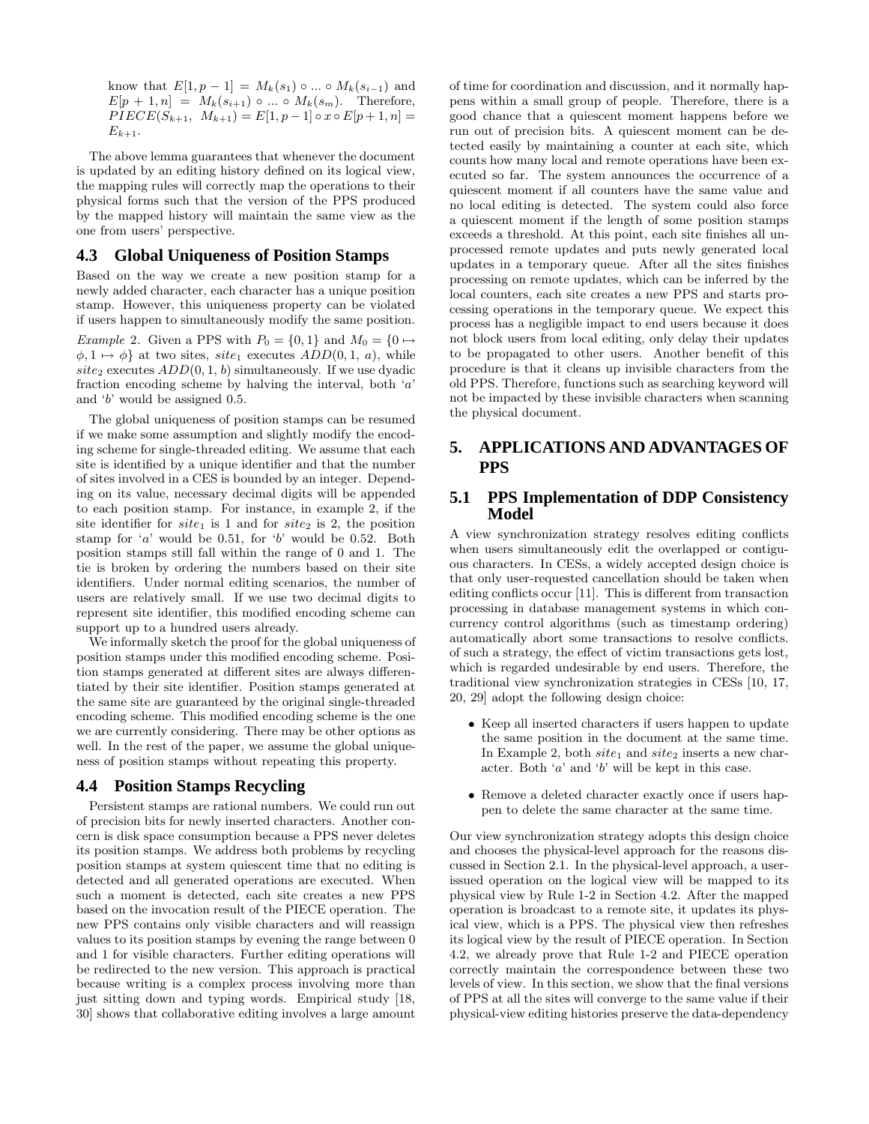know that  $E[1, p - 1] = M_k(s_1) \circ ... \circ M_k(s_{i-1})$  and  $E[p + 1, n] = M_k(s_{i+1}) \circ ... \circ M_k(s_m)$ . Therefore,  $PIECE(S_{k+1}, M_{k+1}) = E[1, p-1] \circ x \circ E[p+1, n] =$  $E_{k+1}$ .

The above lemma guarantees that whenever the document is updated by an editing history defined on its logical view, the mapping rules will correctly map the operations to their physical forms such that the version of the PPS produced by the mapped history will maintain the same view as the one from users' perspective.

## **4.3 Global Uniqueness of Position Stamps**

Based on the way we create a new position stamp for a newly added character, each character has a unique position stamp. However, this uniqueness property can be violated if users happen to simultaneously modify the same position. *Example* 2. Given a PPS with  $P_0 = \{0, 1\}$  and  $M_0 = \{0 \mapsto$  $\phi, 1 \mapsto \phi$  at two sites, site<sub>1</sub> executes  $ADD(0, 1, a)$ , while site<sub>2</sub> executes  $ADD(0, 1, b)$  simultaneously. If we use dyadic fraction encoding scheme by halving the interval, both  $a'$ and 'b' would be assigned 0.5.

The global uniqueness of position stamps can be resumed if we make some assumption and slightly modify the encoding scheme for single-threaded editing. We assume that each site is identified by a unique identifier and that the number of sites involved in a CES is bounded by an integer. Depending on its value, necessary decimal digits will be appended to each position stamp. For instance, in example 2, if the site identifier for  $site_1$  is 1 and for  $site_2$  is 2, the position stamp for  $a'$  would be 0.51, for  $b'$  would be 0.52. Both position stamps still fall within the range of 0 and 1. The tie is broken by ordering the numbers based on their site identifiers. Under normal editing scenarios, the number of users are relatively small. If we use two decimal digits to represent site identifier, this modified encoding scheme can support up to a hundred users already.

We informally sketch the proof for the global uniqueness of position stamps under this modified encoding scheme. Position stamps generated at different sites are always differentiated by their site identifier. Position stamps generated at the same site are guaranteed by the original single-threaded encoding scheme. This modified encoding scheme is the one we are currently considering. There may be other options as well. In the rest of the paper, we assume the global uniqueness of position stamps without repeating this property.

# **4.4 Position Stamps Recycling**

Persistent stamps are rational numbers. We could run out of precision bits for newly inserted characters. Another concern is disk space consumption because a PPS never deletes its position stamps. We address both problems by recycling position stamps at system quiescent time that no editing is detected and all generated operations are executed. When such a moment is detected, each site creates a new PPS based on the invocation result of the PIECE operation. The new PPS contains only visible characters and will reassign values to its position stamps by evening the range between 0 and 1 for visible characters. Further editing operations will be redirected to the new version. This approach is practical because writing is a complex process involving more than just sitting down and typing words. Empirical study [18, 30] shows that collaborative editing involves a large amount of time for coordination and discussion, and it normally happens within a small group of people. Therefore, there is a good chance that a quiescent moment happens before we run out of precision bits. A quiescent moment can be detected easily by maintaining a counter at each site, which counts how many local and remote operations have been executed so far. The system announces the occurrence of a quiescent moment if all counters have the same value and no local editing is detected. The system could also force a quiescent moment if the length of some position stamps exceeds a threshold. At this point, each site finishes all unprocessed remote updates and puts newly generated local updates in a temporary queue. After all the sites finishes processing on remote updates, which can be inferred by the local counters, each site creates a new PPS and starts processing operations in the temporary queue. We expect this process has a negligible impact to end users because it does not block users from local editing, only delay their updates to be propagated to other users. Another benefit of this procedure is that it cleans up invisible characters from the old PPS. Therefore, functions such as searching keyword will not be impacted by these invisible characters when scanning the physical document.

# **5. APPLICATIONS AND ADVANTAGES OF PPS**

#### **5.1 PPS Implementation of DDP Consistency Model**

A view synchronization strategy resolves editing conflicts when users simultaneously edit the overlapped or contiguous characters. In CESs, a widely accepted design choice is that only user-requested cancellation should be taken when editing conflicts occur [11]. This is different from transaction processing in database management systems in which concurrency control algorithms (such as timestamp ordering) automatically abort some transactions to resolve conflicts. of such a strategy, the effect of victim transactions gets lost, which is regarded undesirable by end users. Therefore, the traditional view synchronization strategies in CESs [10, 17, 20, 29] adopt the following design choice:

- Keep all inserted characters if users happen to update the same position in the document at the same time. In Example 2, both  $site_1$  and  $site_2$  inserts a new character. Both 'a' and 'b' will be kept in this case.
- Remove a deleted character exactly once if users happen to delete the same character at the same time.

Our view synchronization strategy adopts this design choice and chooses the physical-level approach for the reasons discussed in Section 2.1. In the physical-level approach, a userissued operation on the logical view will be mapped to its physical view by Rule 1-2 in Section 4.2. After the mapped operation is broadcast to a remote site, it updates its physical view, which is a PPS. The physical view then refreshes its logical view by the result of PIECE operation. In Section 4.2, we already prove that Rule 1-2 and PIECE operation correctly maintain the correspondence between these two levels of view. In this section, we show that the final versions of PPS at all the sites will converge to the same value if their physical-view editing histories preserve the data-dependency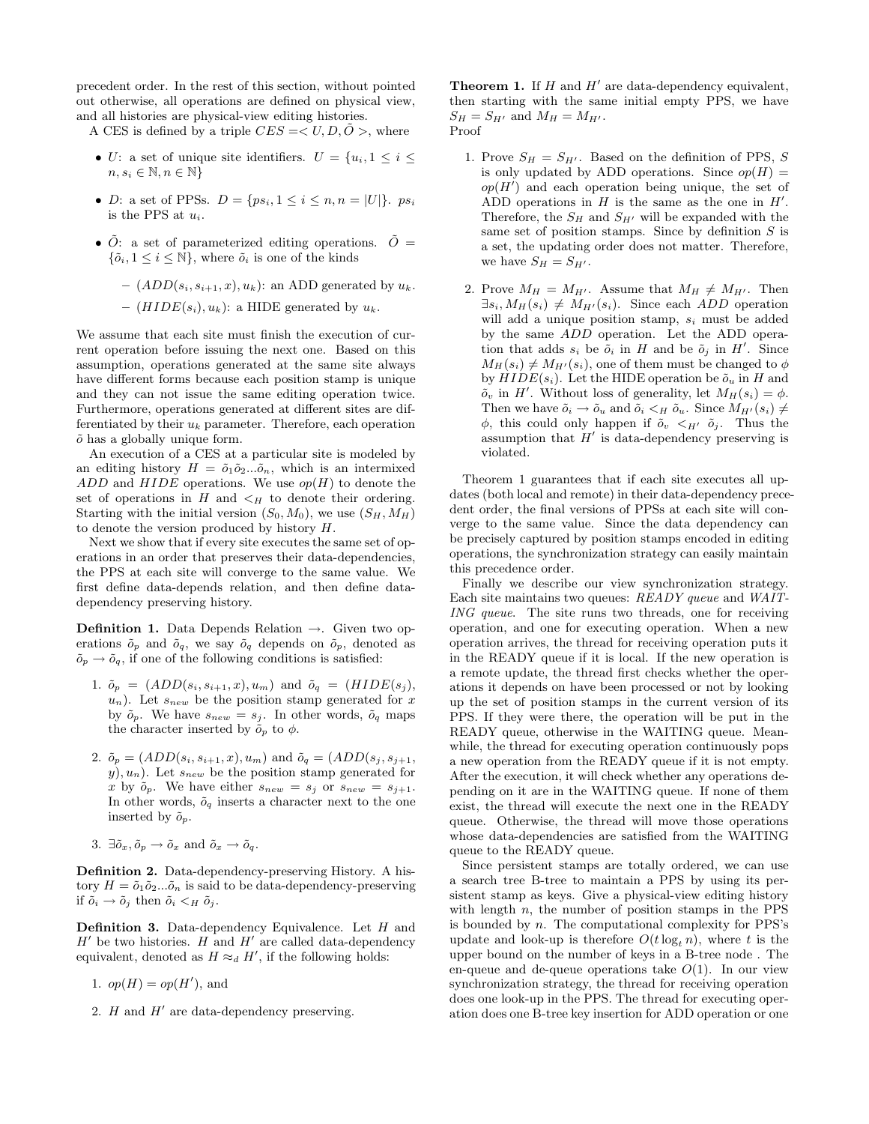precedent order. In the rest of this section, without pointed out otherwise, all operations are defined on physical view, and all histories are physical-view editing histories.

A CES is defined by a triple  $CES = < U, D, \tilde{O} >$ , where

- U: a set of unique site identifiers.  $U = \{u_i, 1 \leq i \leq j\}$  $n, s_i \in \mathbb{N}, n \in \mathbb{N}\}$
- *D*: a set of PPSs.  $D = \{ps_i, 1 \le i \le n, n = |U|\}$ .  $ps_i$ is the PPS at  $u_i$ .
- $\tilde{O}$ : a set of parameterized editing operations.  $\tilde{O} =$  $\{\tilde{o}_i, 1 \leq i \leq \mathbb{N}\}\,$ , where  $\tilde{o}_i$  is one of the kinds
	- $(ADD(s_i, s_{i+1}, x), u_k)$ : an ADD generated by  $u_k$ .
	- $-$  ( $HIDE(s_i), u_k$ ): a HIDE generated by  $u_k$ .

We assume that each site must finish the execution of current operation before issuing the next one. Based on this assumption, operations generated at the same site always have different forms because each position stamp is unique and they can not issue the same editing operation twice. Furthermore, operations generated at different sites are differentiated by their u*<sup>k</sup>* parameter. Therefore, each operation  $\tilde{o}$  has a globally unique form.

An execution of a CES at a particular site is modeled by an editing history  $H = \tilde{o}_1 \tilde{o}_2 ... \tilde{o}_n$ , which is an intermixed  $ADD$  and  $HIDE$  operations. We use  $op(H)$  to denote the set of operations in  $H$  and  $\lt_H$  to denote their ordering. Starting with the initial version  $(S_0, M_0)$ , we use  $(S_H, M_H)$ to denote the version produced by history H.

Next we show that if every site executes the same set of operations in an order that preserves their data-dependencies, the PPS at each site will converge to the same value. We first define data-depends relation, and then define datadependency preserving history.

**Definition 1.** Data Depends Relation →. Given two operations  $\tilde{o}_p$  and  $\tilde{o}_q$ , we say  $\tilde{o}_q$  depends on  $\tilde{o}_p$ , denoted as  $\tilde{o}_p \rightarrow \tilde{o}_q$ , if one of the following conditions is satisfied:

- 1.  $\tilde{o}_p = (ADD(s_i, s_{i+1}, x), u_m)$  and  $\tilde{o}_q = (HIDE(s_j),$  $u_n$ ). Let  $s_{new}$  be the position stamp generated for x by  $\tilde{o}_p$ . We have  $s_{new} = s_j$ . In other words,  $\tilde{o}_q$  maps the character inserted by  $\tilde{o}_p$  to  $\phi$ .
- 2.  $\tilde{o}_p = (ADD(s_i, s_{i+1}, x), u_m)$  and  $\tilde{o}_q = (ADD(s_j, s_{j+1},$  $y)$ ,  $u_n$ ). Let  $s_{new}$  be the position stamp generated for x by  $\tilde{o}_p$ . We have either  $s_{new} = s_j$  or  $s_{new} = s_{j+1}$ . In other words,  $\tilde{o}_q$  inserts a character next to the one inserted by  $\tilde{o}_p$ .
- 3.  $\exists \tilde{o}_x, \tilde{o}_p \rightarrow \tilde{o}_x$  and  $\tilde{o}_x \rightarrow \tilde{o}_q$ .

**Definition 2.** Data-dependency-preserving History. A history  $H = \tilde{o}_1 \tilde{o}_2 ... \tilde{o}_n$  is said to be data-dependency-preserving if  $\tilde{o}_i \rightarrow \tilde{o}_j$  then  $\tilde{o}_i \lt_H \tilde{o}_j$ .

**Definition 3.** Data-dependency Equivalence. Let H and  $H'$  be two histories.  $H$  and  $H'$  are called data-dependency equivalent, denoted as  $H \approx_d H'$ , if the following holds:

- 1.  $op(H) = op(H')$ , and
- 2. H and  $H'$  are data-dependency preserving.

**Theorem 1.** If  $H$  and  $H'$  are data-dependency equivalent, then starting with the same initial empty PPS, we have  $S_H = S_{H'}$  and  $M_H = M_{H'}$ . Proof

- 1. Prove  $S_H = S_{H'}$ . Based on the definition of PPS, S is only updated by ADD operations. Since  $op(H)$  =  $op(H')$  and each operation being unique, the set of  $\overrightarrow{ADD}$  operations in  $H$  is the same as the one in  $H'$ . Therefore, the  $S_H$  and  $S_{H'}$  will be expanded with the same set of position stamps. Since by definition  $S$  is a set, the updating order does not matter. Therefore, we have  $S_H = S_{H'}$ .
- 2. Prove  $M_H = M_{H'}$ . Assume that  $M_H \neq M_{H'}$ . Then  $\exists s_i, M_H(s_i) \neq M_{H'}(s_i)$ . Since each *ADD* operation will add a unique position stamp, s*<sup>i</sup>* must be added by the same ADD operation. Let the ADD operation that adds  $s_i$  be  $\tilde{o}_i$  in H and be  $\tilde{o}_j$  in H'. Since  $M_H(s_i) \neq M_{H'}(s_i)$ , one of them must be changed to  $\phi$ by  $HIDE(s_i)$ . Let the HIDE operation be  $\tilde{o}_u$  in H and  $\tilde{o}_v$  in *H'*. Without loss of generality, let  $M_H(s_i) = \phi$ . Then we have  $\tilde{o}_i \to \tilde{o}_u$  and  $\tilde{o}_i \lt_H \tilde{o}_u$ . Since  $M_{H'}(s_i) \neq$  $\phi$ , this could only happen if  $\tilde{o}_v <_{H'} \tilde{o}_j$ . Thus the assumption that  $H'$  is data-dependency preserving is violated.

Theorem 1 guarantees that if each site executes all updates (both local and remote) in their data-dependency precedent order, the final versions of PPSs at each site will converge to the same value. Since the data dependency can be precisely captured by position stamps encoded in editing operations, the synchronization strategy can easily maintain this precedence order.

Finally we describe our view synchronization strategy. Each site maintains two queues: *READY queue* and *WAIT-ING queue*. The site runs two threads, one for receiving operation, and one for executing operation. When a new operation arrives, the thread for receiving operation puts it in the READY queue if it is local. If the new operation is a remote update, the thread first checks whether the operations it depends on have been processed or not by looking up the set of position stamps in the current version of its PPS. If they were there, the operation will be put in the READY queue, otherwise in the WAITING queue. Meanwhile, the thread for executing operation continuously pops a new operation from the READY queue if it is not empty. After the execution, it will check whether any operations depending on it are in the WAITING queue. If none of them exist, the thread will execute the next one in the READY queue. Otherwise, the thread will move those operations whose data-dependencies are satisfied from the WAITING queue to the READY queue.

Since persistent stamps are totally ordered, we can use a search tree B-tree to maintain a PPS by using its persistent stamp as keys. Give a physical-view editing history with length  $n$ , the number of position stamps in the PPS is bounded by n. The computational complexity for PPS's update and look-up is therefore  $O(t \log_t n)$ , where t is the upper bound on the number of keys in a B-tree node . The en-queue and de-queue operations take  $O(1)$ . In our view synchronization strategy, the thread for receiving operation does one look-up in the PPS. The thread for executing operation does one B-tree key insertion for ADD operation or one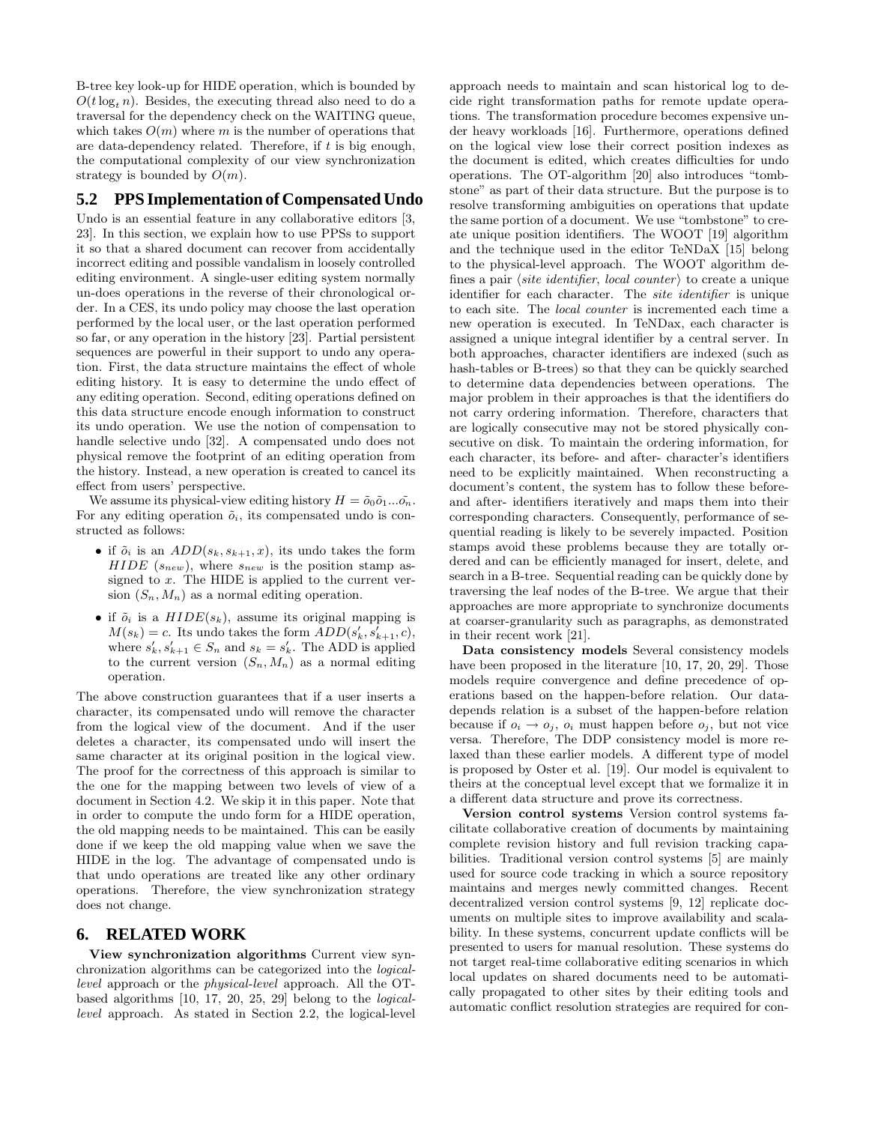B-tree key look-up for HIDE operation, which is bounded by  $O(t \log_t n)$ . Besides, the executing thread also need to do a traversal for the dependency check on the WAITING queue, which takes  $O(m)$  where m is the number of operations that are data-dependency related. Therefore, if  $t$  is big enough, the computational complexity of our view synchronization strategy is bounded by  $O(m)$ .

# **5.2 PPS Implementation of Compensated Undo**

Undo is an essential feature in any collaborative editors [3, 23]. In this section, we explain how to use PPSs to support it so that a shared document can recover from accidentally incorrect editing and possible vandalism in loosely controlled editing environment. A single-user editing system normally un-does operations in the reverse of their chronological order. In a CES, its undo policy may choose the last operation performed by the local user, or the last operation performed so far, or any operation in the history [23]. Partial persistent sequences are powerful in their support to undo any operation. First, the data structure maintains the effect of whole editing history. It is easy to determine the undo effect of any editing operation. Second, editing operations defined on this data structure encode enough information to construct its undo operation. We use the notion of compensation to handle selective undo [32]. A compensated undo does not physical remove the footprint of an editing operation from the history. Instead, a new operation is created to cancel its effect from users' perspective.

We assume its physical-view editing history  $H = \tilde{o}_0 \tilde{o}_1 ... \tilde{o}_n$ . For any editing operation  $\tilde{o}_i$ , its compensated undo is constructed as follows:

- if  $\tilde{o}_i$  is an  $ADD(s_k, s_{k+1}, x)$ , its undo takes the form  $HIDE(s_{new})$ , where  $s_{new}$  is the position stamp assigned to  $x$ . The HIDE is applied to the current version  $(S_n, M_n)$  as a normal editing operation.
- if  $\tilde{o}_i$  is a  $HIDE(s_k)$ , assume its original mapping is  $M(s_k) = c$ . Its undo takes the form  $\overline{ADD(s'_k, s'_{k+1}, c)}$ , where  $s'_k, s'_{k+1} \in S_n$  and  $s_k = s'_k$ . The ADD is applied to the current version  $(S_n, M_n)$  as a normal editing operation.

The above construction guarantees that if a user inserts a character, its compensated undo will remove the character from the logical view of the document. And if the user deletes a character, its compensated undo will insert the same character at its original position in the logical view. The proof for the correctness of this approach is similar to the one for the mapping between two levels of view of a document in Section 4.2. We skip it in this paper. Note that in order to compute the undo form for a HIDE operation, the old mapping needs to be maintained. This can be easily done if we keep the old mapping value when we save the HIDE in the log. The advantage of compensated undo is that undo operations are treated like any other ordinary operations. Therefore, the view synchronization strategy does not change.

#### **6. RELATED WORK**

**View synchronization algorithms** Current view synchronization algorithms can be categorized into the *logicallevel* approach or the *physical-level* approach. All the OTbased algorithms [10, 17, 20, 25, 29] belong to the *logicallevel* approach. As stated in Section 2.2, the logical-level approach needs to maintain and scan historical log to decide right transformation paths for remote update operations. The transformation procedure becomes expensive under heavy workloads [16]. Furthermore, operations defined on the logical view lose their correct position indexes as the document is edited, which creates difficulties for undo operations. The OT-algorithm [20] also introduces "tombstone" as part of their data structure. But the purpose is to resolve transforming ambiguities on operations that update the same portion of a document. We use "tombstone" to create unique position identifiers. The WOOT [19] algorithm and the technique used in the editor TeNDaX [15] belong to the physical-level approach. The WOOT algorithm defines a pair *(site identifier, local counter)* to create a unique identifier for each character. The *site identifier* is unique to each site. The *local counter* is incremented each time a new operation is executed. In TeNDax, each character is assigned a unique integral identifier by a central server. In both approaches, character identifiers are indexed (such as hash-tables or B-trees) so that they can be quickly searched to determine data dependencies between operations. The major problem in their approaches is that the identifiers do not carry ordering information. Therefore, characters that are logically consecutive may not be stored physically consecutive on disk. To maintain the ordering information, for each character, its before- and after- character's identifiers need to be explicitly maintained. When reconstructing a document's content, the system has to follow these beforeand after- identifiers iteratively and maps them into their corresponding characters. Consequently, performance of sequential reading is likely to be severely impacted. Position stamps avoid these problems because they are totally ordered and can be efficiently managed for insert, delete, and search in a B-tree. Sequential reading can be quickly done by traversing the leaf nodes of the B-tree. We argue that their approaches are more appropriate to synchronize documents at coarser-granularity such as paragraphs, as demonstrated in their recent work [21].

**Data consistency models** Several consistency models have been proposed in the literature [10, 17, 20, 29]. Those models require convergence and define precedence of operations based on the happen-before relation. Our datadepends relation is a subset of the happen-before relation because if  $o_i \rightarrow o_j$ ,  $o_i$  must happen before  $o_j$ , but not vice versa. Therefore, The DDP consistency model is more relaxed than these earlier models. A different type of model is proposed by Oster et al. [19]. Our model is equivalent to theirs at the conceptual level except that we formalize it in a different data structure and prove its correctness.

**Version control systems** Version control systems facilitate collaborative creation of documents by maintaining complete revision history and full revision tracking capabilities. Traditional version control systems [5] are mainly used for source code tracking in which a source repository maintains and merges newly committed changes. Recent decentralized version control systems [9, 12] replicate documents on multiple sites to improve availability and scalability. In these systems, concurrent update conflicts will be presented to users for manual resolution. These systems do not target real-time collaborative editing scenarios in which local updates on shared documents need to be automatically propagated to other sites by their editing tools and automatic conflict resolution strategies are required for con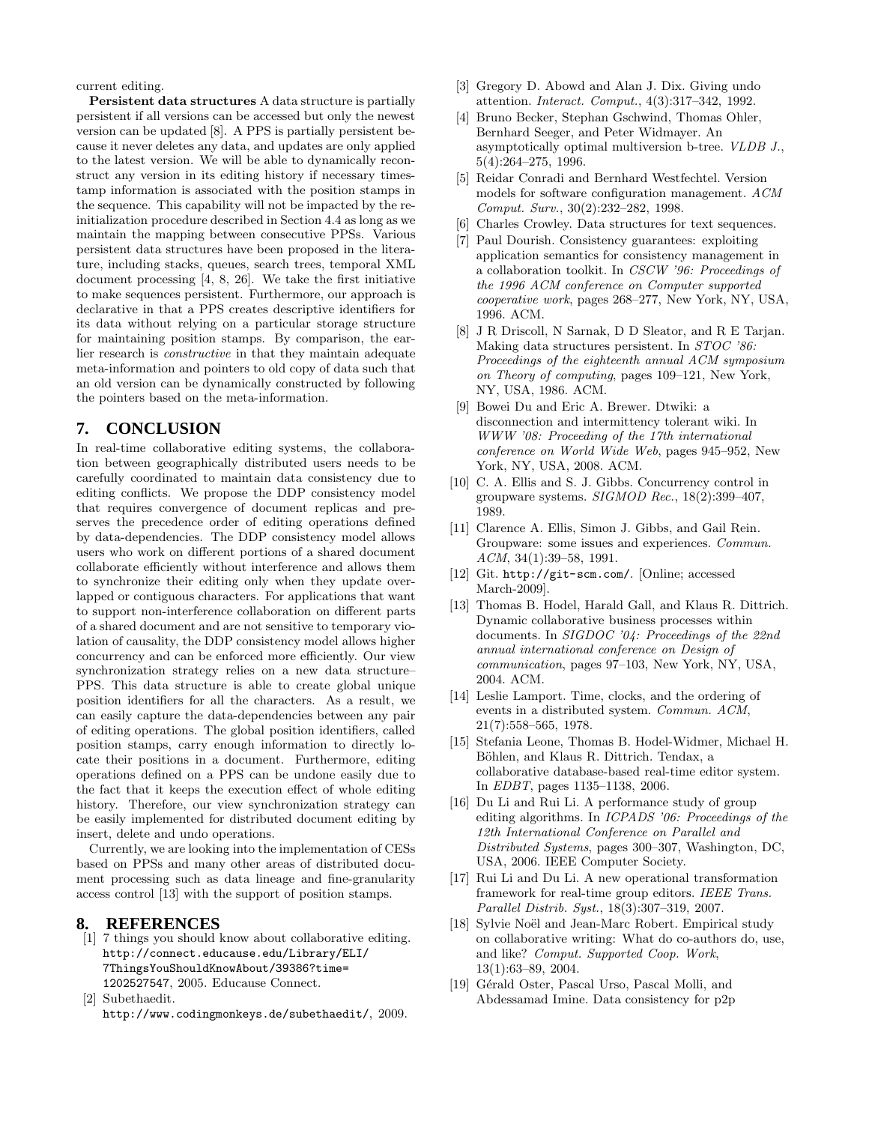current editing.

**Persistent data structures** A data structure is partially persistent if all versions can be accessed but only the newest version can be updated [8]. A PPS is partially persistent because it never deletes any data, and updates are only applied to the latest version. We will be able to dynamically reconstruct any version in its editing history if necessary timestamp information is associated with the position stamps in the sequence. This capability will not be impacted by the reinitialization procedure described in Section 4.4 as long as we maintain the mapping between consecutive PPSs. Various persistent data structures have been proposed in the literature, including stacks, queues, search trees, temporal XML document processing [4, 8, 26]. We take the first initiative to make sequences persistent. Furthermore, our approach is declarative in that a PPS creates descriptive identifiers for its data without relying on a particular storage structure for maintaining position stamps. By comparison, the earlier research is *constructive* in that they maintain adequate meta-information and pointers to old copy of data such that an old version can be dynamically constructed by following the pointers based on the meta-information.

# **7. CONCLUSION**

In real-time collaborative editing systems, the collaboration between geographically distributed users needs to be carefully coordinated to maintain data consistency due to editing conflicts. We propose the DDP consistency model that requires convergence of document replicas and preserves the precedence order of editing operations defined by data-dependencies. The DDP consistency model allows users who work on different portions of a shared document collaborate efficiently without interference and allows them to synchronize their editing only when they update overlapped or contiguous characters. For applications that want to support non-interference collaboration on different parts of a shared document and are not sensitive to temporary violation of causality, the DDP consistency model allows higher concurrency and can be enforced more efficiently. Our view synchronization strategy relies on a new data structure– PPS. This data structure is able to create global unique position identifiers for all the characters. As a result, we can easily capture the data-dependencies between any pair of editing operations. The global position identifiers, called position stamps, carry enough information to directly locate their positions in a document. Furthermore, editing operations defined on a PPS can be undone easily due to the fact that it keeps the execution effect of whole editing history. Therefore, our view synchronization strategy can be easily implemented for distributed document editing by insert, delete and undo operations.

Currently, we are looking into the implementation of CESs based on PPSs and many other areas of distributed document processing such as data lineage and fine-granularity access control [13] with the support of position stamps.

#### **8. REFERENCES**

- [1] 7 things you should know about collaborative editing. http://connect.educause.edu/Library/ELI/ 7ThingsYouShouldKnowAbout/39386?time= 1202527547, 2005. Educause Connect.
- [2] Subethaedit. http://www.codingmonkeys.de/subethaedit/, 2009.
- [3] Gregory D. Abowd and Alan J. Dix. Giving undo attention. *Interact. Comput.*, 4(3):317–342, 1992.
- [4] Bruno Becker, Stephan Gschwind, Thomas Ohler, Bernhard Seeger, and Peter Widmayer. An asymptotically optimal multiversion b-tree. *VLDB J.*, 5(4):264–275, 1996.
- [5] Reidar Conradi and Bernhard Westfechtel. Version models for software configuration management. *ACM Comput. Surv.*, 30(2):232–282, 1998.
- [6] Charles Crowley. Data structures for text sequences.
- [7] Paul Dourish. Consistency guarantees: exploiting application semantics for consistency management in a collaboration toolkit. In *CSCW '96: Proceedings of the 1996 ACM conference on Computer supported cooperative work*, pages 268–277, New York, NY, USA, 1996. ACM.
- [8] J R Driscoll, N Sarnak, D D Sleator, and R E Tarjan. Making data structures persistent. In *STOC '86: Proceedings of the eighteenth annual ACM symposium on Theory of computing*, pages 109–121, New York, NY, USA, 1986. ACM.
- [9] Bowei Du and Eric A. Brewer. Dtwiki: a disconnection and intermittency tolerant wiki. In *WWW '08: Proceeding of the 17th international conference on World Wide Web*, pages 945–952, New York, NY, USA, 2008. ACM.
- [10] C. A. Ellis and S. J. Gibbs. Concurrency control in groupware systems. *SIGMOD Rec.*, 18(2):399–407, 1989.
- [11] Clarence A. Ellis, Simon J. Gibbs, and Gail Rein. Groupware: some issues and experiences. *Commun. ACM*, 34(1):39–58, 1991.
- [12] Git. http://git-scm.com/. [Online; accessed March-2009].
- [13] Thomas B. Hodel, Harald Gall, and Klaus R. Dittrich. Dynamic collaborative business processes within documents. In *SIGDOC '04: Proceedings of the 22nd annual international conference on Design of communication*, pages 97–103, New York, NY, USA, 2004. ACM.
- [14] Leslie Lamport. Time, clocks, and the ordering of events in a distributed system. *Commun. ACM*, 21(7):558–565, 1978.
- [15] Stefania Leone, Thomas B. Hodel-Widmer, Michael H. Böhlen, and Klaus R. Dittrich. Tendax, a collaborative database-based real-time editor system. In *EDBT*, pages 1135–1138, 2006.
- [16] Du Li and Rui Li. A performance study of group editing algorithms. In *ICPADS '06: Proceedings of the 12th International Conference on Parallel and Distributed Systems*, pages 300–307, Washington, DC, USA, 2006. IEEE Computer Society.
- [17] Rui Li and Du Li. A new operational transformation framework for real-time group editors. *IEEE Trans. Parallel Distrib. Syst.*, 18(3):307–319, 2007.
- [18] Sylvie Noël and Jean-Marc Robert. Empirical study on collaborative writing: What do co-authors do, use, and like? *Comput. Supported Coop. Work*, 13(1):63–89, 2004.
- [19] Gérald Oster, Pascal Urso, Pascal Molli, and Abdessamad Imine. Data consistency for p2p